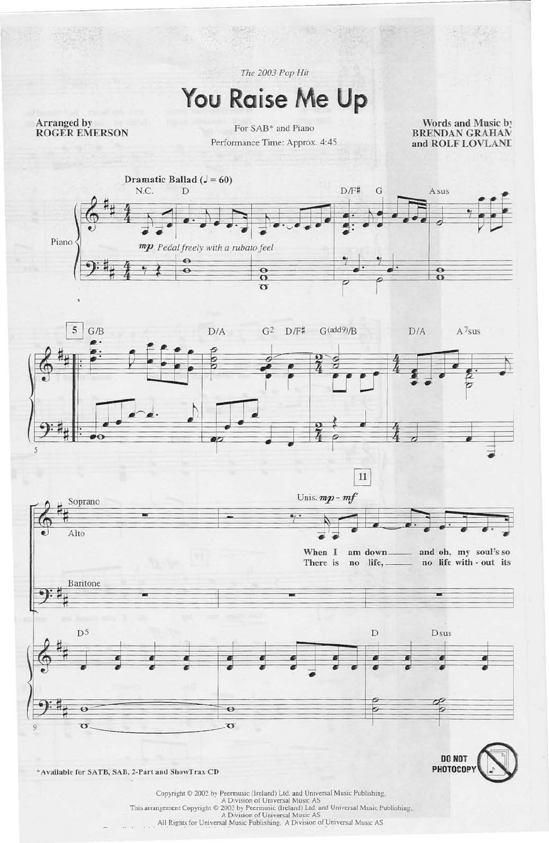The 2003 Pop Hit

## You Raise Me Up

Arranged by **ROGER EMERSON** 

For SAB\* and Piano Performance Time: Approx. 4:45

Words and Music by **BRENDAN GRAHAN** and ROLF LOVLAND





 $\overline{11}$ 



\*Available for SATB, SAB, 2-Part and ShowTrax CD

 $\label{eq:Cor1} \begin{array}{ll} \textbf{Copyright} \otimes 2002 \text{ by Permusc (Ireland) Ltd. and Universal Music Publishing}, \\ \textbf{A Division of Universal Music AS} \end{array}$  This arrangement Copyright  $\oplus$  2003 by Peermusic (Ireland) Ltd. and Universal Music Publishing, A Division of Universal Music AS<br>All Rights for Universal Music Publishing, A Division of Universal Music AS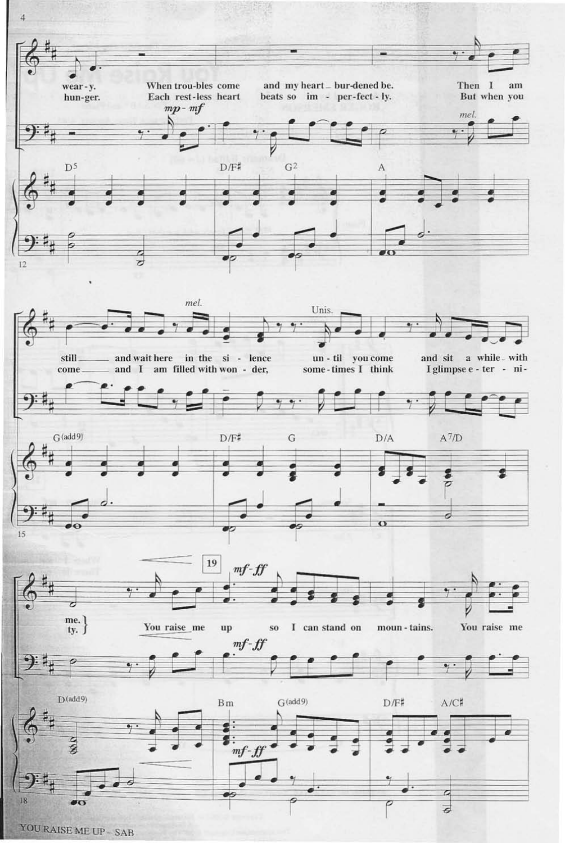

YOU RAISE ME UP - SAB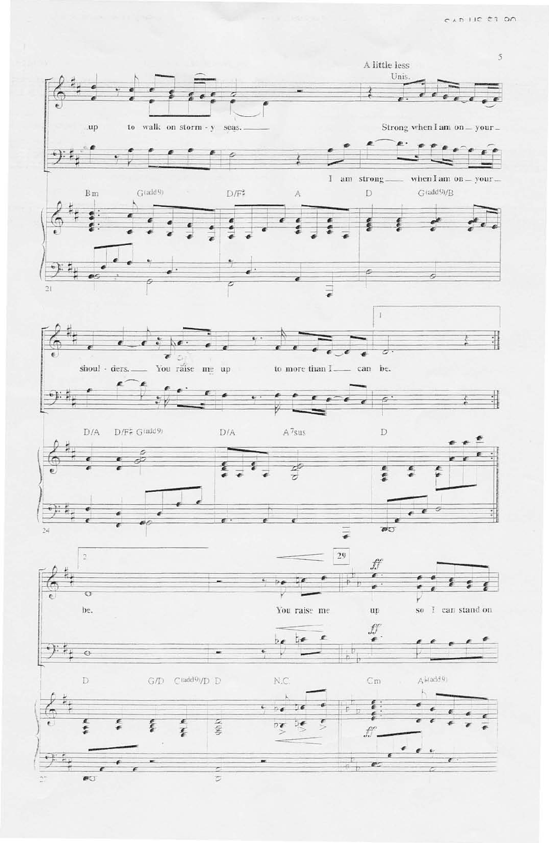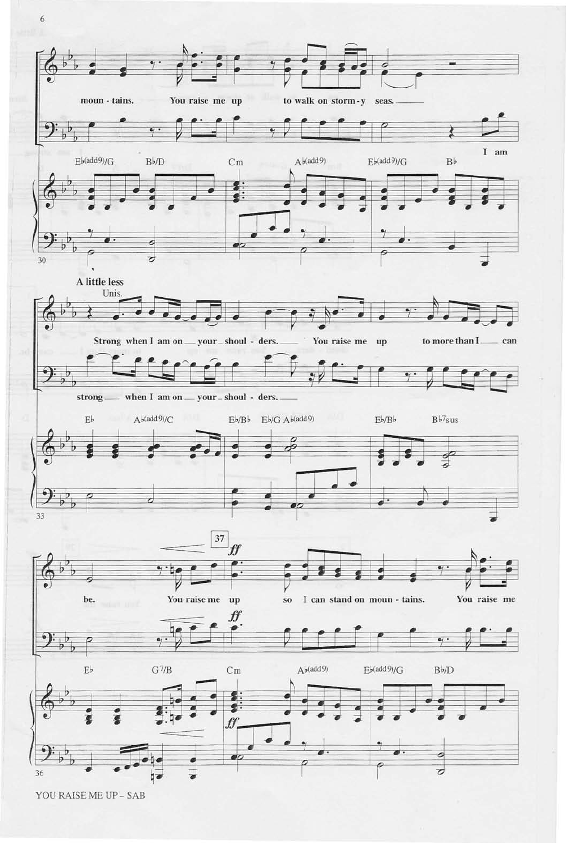

YOU RAISE ME UP - SAB